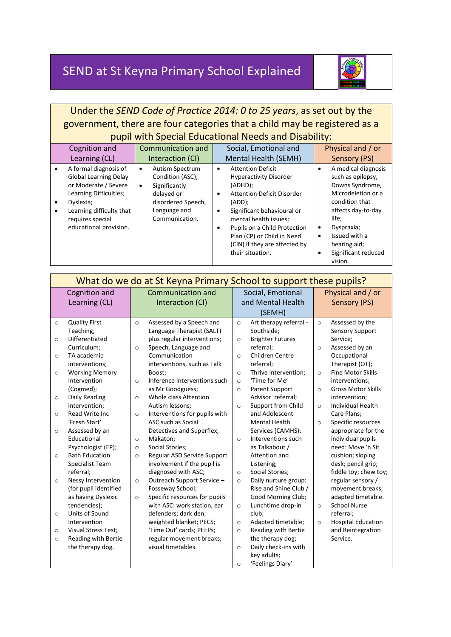# SEND at St Keyna Primary School Explained



## Under the *SEND Code of Practice 2014: 0 to 25 years*, as set out by the government, there are four categories that a child may be registered as a pupil with Special Educational Needs and Disability:

|   | Cognition and                                                                                                                                                                                  | Communication and                                                                                                                                   | Social, Emotional and                                                                                                                                                                                                                                                                                   | Physical and / or                                                                                                                                                                                                                |  |  |  |  |
|---|------------------------------------------------------------------------------------------------------------------------------------------------------------------------------------------------|-----------------------------------------------------------------------------------------------------------------------------------------------------|---------------------------------------------------------------------------------------------------------------------------------------------------------------------------------------------------------------------------------------------------------------------------------------------------------|----------------------------------------------------------------------------------------------------------------------------------------------------------------------------------------------------------------------------------|--|--|--|--|
|   | Learning (CL)                                                                                                                                                                                  | Interaction (CI)                                                                                                                                    | Mental Health (SEMH)                                                                                                                                                                                                                                                                                    | Sensory (PS)                                                                                                                                                                                                                     |  |  |  |  |
| ٠ | A formal diagnosis of<br><b>Global Learning Delay</b><br>or Moderate / Severe<br>Learning Difficulties;<br>Dyslexia;<br>Learning difficulty that<br>requires special<br>educational provision. | <b>Autism Spectrum</b><br>٠<br>Condition (ASC);<br>Significantly<br>$\bullet$<br>delayed or<br>disordered Speech,<br>Language and<br>Communication. | <b>Attention Deficit</b><br>٠<br><b>Hyperactivity Disorder</b><br>(ADHD):<br><b>Attention Deficit Disorder</b><br>٠<br>(ADD):<br>Significant behavioural or<br>mental health issues;<br>Pupils on a Child Protection<br>Plan (CP) or Child in Need<br>(CIN) if they are affected by<br>their situation. | A medical diagnosis<br>such as epilepsy,<br>Downs Syndrome,<br>Microdeletion or a<br>condition that<br>affects day-to-day<br>life:<br>Dyspraxia;<br>Issued with a<br>$\bullet$<br>hearing aid;<br>Significant reduced<br>vision. |  |  |  |  |

| What do we do at St Keyna Primary School to support these pupils? |                            |                          |                               |                   |                         |              |                           |
|-------------------------------------------------------------------|----------------------------|--------------------------|-------------------------------|-------------------|-------------------------|--------------|---------------------------|
|                                                                   | Cognition and              | <b>Communication and</b> |                               | Social, Emotional |                         |              | Physical and / or         |
|                                                                   | Learning (CL)              | Interaction (CI)         |                               | and Mental Health |                         | Sensory (PS) |                           |
|                                                                   |                            |                          |                               | (SEMH)            |                         |              |                           |
| $\circ$                                                           | <b>Quality First</b>       | $\circ$                  | Assessed by a Speech and      | $\circ$           | Art therapy referral -  | $\circ$      | Assessed by the           |
|                                                                   | Teaching;                  |                          | Language Therapist (SALT)     |                   | Southside;              |              | <b>Sensory Support</b>    |
| $\circ$                                                           | Differentiated             |                          | plus regular interventions;   | $\circ$           | <b>Brighter Futures</b> |              | Service;                  |
|                                                                   | Curriculum;                | $\circ$                  | Speech, Language and          |                   | referral;               | $\circ$      | Assessed by an            |
| $\circ$                                                           | TA academic                |                          | Communication                 | $\Omega$          | Children Centre         |              | Occupational              |
|                                                                   | interventions;             |                          | interventions, such as Talk   |                   | referral;               |              | Therapist (OT);           |
| $\circ$                                                           | <b>Working Memory</b>      |                          | Boost;                        | $\Omega$          | Thrive intervention;    | $\Omega$     | <b>Fine Motor Skills</b>  |
|                                                                   | Intervention               | $\circ$                  | Inference interventions such  | $\circ$           | 'Time for Me'           |              | interventions;            |
|                                                                   | (Cogmed);                  |                          | as Mr Goodguess;              | $\Omega$          | Parent Support          | $\Omega$     | <b>Gross Motor Skills</b> |
| $\circ$                                                           | Daily Reading              | $\circ$                  | Whole class Attention         |                   | Advisor referral;       |              | intervention;             |
|                                                                   | intervention;              |                          | Autism lessons;               | $\circ$           | Support from Child      | $\Omega$     | Individual Health         |
| $\circ$                                                           | Read Write Inc.            | $\circ$                  | Interventions for pupils with |                   | and Adolescent          |              | Care Plans;               |
|                                                                   | 'Fresh Start'              |                          | ASC such as Social            |                   | <b>Mental Health</b>    | $\circ$      | Specific resources        |
| $\circ$                                                           | Assessed by an             |                          | Detectives and Superflex;     |                   | Services (CAMHS);       |              | appropriate for the       |
|                                                                   | Educational                | $\circ$                  | Makaton;                      | $\Omega$          | Interventions such      |              | individual pupils         |
|                                                                   | Psychologist (EP);         | $\circ$                  | Social Stories;               |                   | as Talkabout /          |              | need: Move 'n Sit         |
| $\circ$                                                           | <b>Bath Education</b>      | $\circ$                  | Regular ASD Service Support   |                   | Attention and           |              | cushion; sloping          |
|                                                                   | Specialist Team            |                          | involvement if the pupil is   |                   | Listening;              |              | desk; pencil grip;        |
|                                                                   | referral;                  |                          | diagnosed with ASC;           | $\circ$           | Social Stories;         |              | fiddle toy; chew toy;     |
| $\circ$                                                           | Nessy Intervention         | $\circ$                  | Outreach Support Service -    | $\circ$           | Daily nurture group:    |              | regular sensory /         |
|                                                                   | (for pupil identified      |                          | Fosseway School;              |                   | Rise and Shine Club /   |              | movement breaks;          |
|                                                                   | as having Dyslexic         | $\circ$                  | Specific resources for pupils |                   | Good Morning Club;      |              | adapted timetable.        |
|                                                                   | tendencies);               |                          | with ASC: work station, ear   | $\circ$           | Lunchtime drop-in       | $\circ$      | <b>School Nurse</b>       |
| $\circ$                                                           | Units of Sound             |                          | defenders; dark den;          |                   | club;                   |              | referral;                 |
|                                                                   | Intervention               |                          | weighted blanket; PECS;       | $\circ$           | Adapted timetable;      | $\circ$      | <b>Hospital Education</b> |
| $\circ$                                                           | <b>Visual Stress Test;</b> |                          | 'Time Out' cards; PEEPs;      | $\circ$           | Reading with Bertie     |              | and Reintegration         |
| $\circ$                                                           | Reading with Bertie        |                          | regular movement breaks;      |                   | the therapy dog;        |              | Service.                  |
|                                                                   | the therapy dog.           |                          | visual timetables.            | $\circ$           | Daily check-ins with    |              |                           |
|                                                                   |                            |                          |                               |                   | key adults;             |              |                           |
|                                                                   |                            |                          |                               | $\circ$           | 'Feelings Diary'        |              |                           |